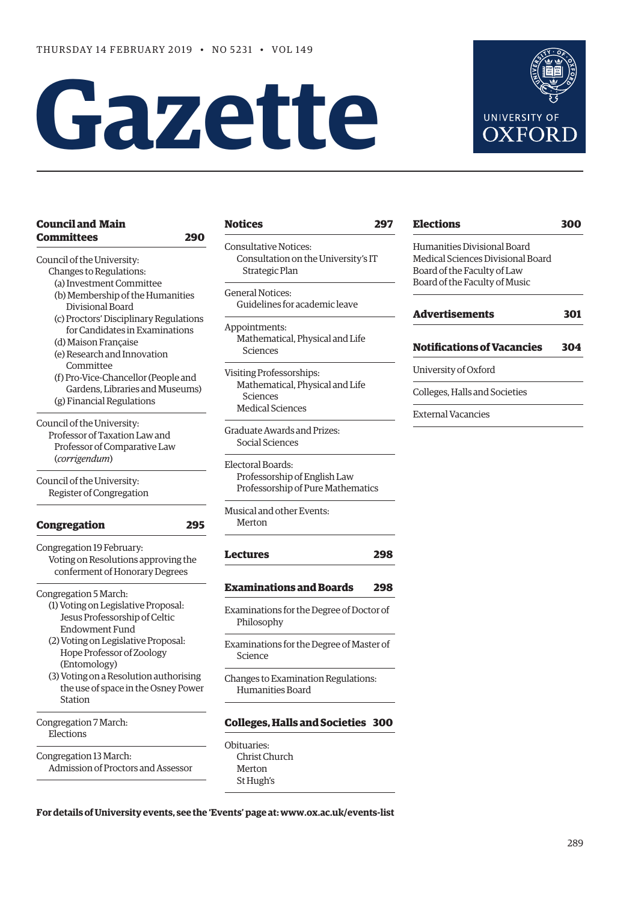# **Gazette**



# **[Council and Main](#page-1-0)  [Committees 290](#page-1-0)**

[Council of the University:](#page-1-0)

- [Changes to Regulations](#page-1-0):
	- [\(a\) Investment Committee](#page-1-0) [\(b\) Membership of the Humanities](#page-1-0)
	- [Divisional Board](#page-1-0)
	- [\(c\) Proctors' Disciplinary Regulations](#page-2-0)   [for Candidates in Examinations](#page-2-0)
	- [\(d\) Maison Française](#page-2-0)
	- [\(e\) Research and Innovation](#page-2-0)   [Committee](#page-2-0)
	- [\(f\) Pro-Vice-Chancellor \(People and](#page-3-0)   [Gardens, Libraries and Museums\)](#page-3-0)  [\(g\) Financial Regulations](#page-3-0)
- [Council of the University:](#page-6-0) [Professor of Taxation Law and](#page-6-0)   [Professor of Comparative Law](#page-6-0) (*corrigendum*)

[Council of the University:](#page-6-0) [Register of Congregation](#page-6-0)

| Congregation                                                                                       |  |
|----------------------------------------------------------------------------------------------------|--|
| Congregation 19 February:<br>Voting on Resolutions approving the<br>conferment of Honorary Degrees |  |
|                                                                                                    |  |

[Congregation 5 March](#page-6-0):

- [\(1\) Voting on Legislative Proposal:](#page-6-0)   [Jesus Professorship of Celtic](#page-6-0)   [Endowment Fund](#page-6-0)
- [\(2\) Voting on Legislative Proposal:](#page-6-0)   [Hope Professor of Zoology](#page-6-0)   [\(Entomology\)](#page-6-0)
- [\(3\) Voting on a Resolution authorising](#page-7-0)   [the use of space in the Osney Power](#page-7-0)   [Station](#page-7-0)

[Congregation 7 March](#page-7-0): [Elections](#page-7-0)

[Congregation 13 March:](#page-7-0) [Admission of Proctors and Assessor](#page-7-0)

# **[Notices 297](#page-8-0)**

[Consultative Notices:](#page-8-0) [Consultation on the University's IT](#page-8-0)   [Strategic Plan](#page-8-0) 

[General Notices](#page-8-0): [Guidelines for academic leave](#page-8-0)

[Appointments:](#page-8-0) [Mathematical, Physical and Life](#page-8-0)   [Sciences](#page-8-0)

[Visiting Professorships](#page-8-0): [Mathematical, Physical and Life](#page-8-0)   [Sciences](#page-8-0) [Medical Sciences](#page-8-0)

[Graduate Awards and Prizes](#page-8-0): [Social Sciences](#page-8-0)

[Electoral Boards:](#page-8-0) Professorship of English Law Professorship of Pure Mathematics

[Musical and other Events](#page-9-0): [Merton](#page-9-0) 

# **[Lectures 298](#page-9-0)**

# **[Examinations and Boards 298](#page-9-0)**

[Examinations for the Degree of Doctor of](#page-9-0)  [Philosophy](#page-9-0)

[Examinations for the Degree of Master of](#page-10-0)  [Science](#page-10-0)

[Changes to Examination Regulations:](#page-10-0) [Humanities Board](#page-10-0)

# **[Colleges, Halls and Societies 300](#page-11-0)**

[Obituaries](#page-11-0): [Christ Church](#page-11-0) [Merton](#page-11-0) [St Hugh's](#page-11-0) 

**[Elections 300](#page-11-0)** Humanities Divisional Board Medical Sciences Divisional Board Board of the Faculty of Law

| Advertisements | 301 |
|----------------|-----|
|                |     |

# **[Notifications of Vacancies 304](#page-15-0)**

[University of Oxford](#page-15-0)

[Colleges, Halls and Societies](#page-15-0)

Board of the Faculty of Music

[External Vacancies](#page-15-0)

# **For details of University events, see the 'Events' page at: [www.ox.ac.uk/events-list](http://www.ox.ac.uk/events-list)**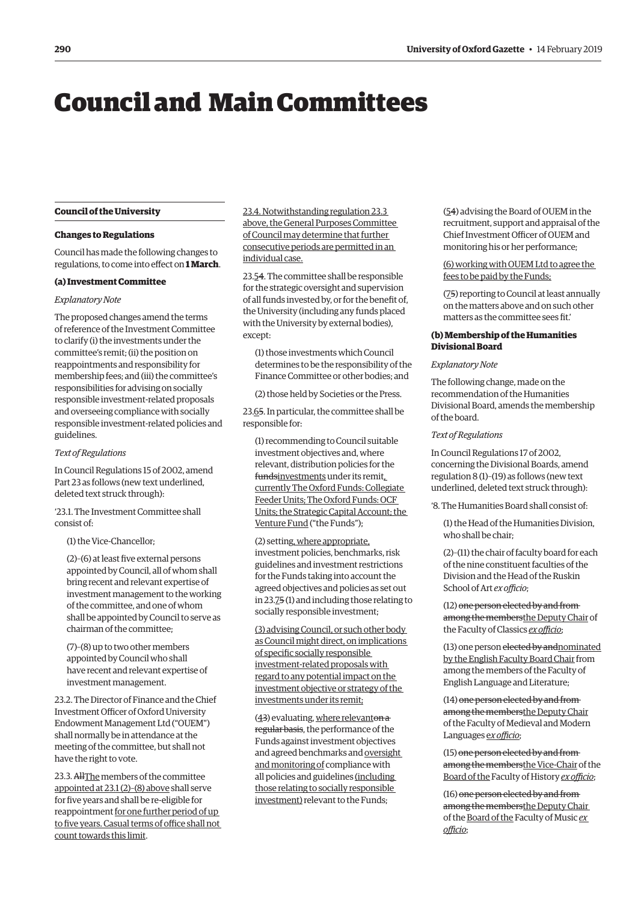# <span id="page-1-0"></span>Council and Main Committees

# **Council of the University**

#### **Changes to Regulations**

Council has made the following changes to regulations, to come into effect on **1 March**.

#### **(a) Investment Committee**

# *Explanatory Note*

The proposed changes amend the terms of reference of the Investment Committee to clarify (i) the investments under the committee's remit; (ii) the position on reappointments and responsibility for membership fees; and (iii) the committee's responsibilities for advising on socially responsible investment-related proposals and overseeing compliance with socially responsible investment-related policies and guidelines.

# *Text of Regulations*

In Council Regulations 15 of 2002, amend Part 23 as follows (new text underlined, deleted text struck through):

'23.1. The Investment Committee shall consist of:

(1) the Vice-Chancellor;

(2)–(6) at least five external persons appointed by Council, all of whom shall bring recent and relevant expertise of investment management to the working of the committee, and one of whom shall be appointed by Council to serve as chairman of the committee;

(7)–(8) up to two other members appointed by Council who shall have recent and relevant expertise of investment management.

23.2. The Director of Finance and the Chief Investment Officer of Oxford University Endowment Management Ltd ("OUEM") shall normally be in attendance at the meeting of the committee, but shall not have the right to vote.

23.3. AllThe members of the committee appointed at 23.1 (2)–(8) above shall serve for five years and shall be re-eligible for reappointment for one further period of up to five years. Casual terms of office shall not count towards this limit.

23.4. Notwithstanding regulation 23.3 above, the General Purposes Committee of Council may determine that further consecutive periods are permitted in an individual case.

23.54. The committee shall be responsible for the strategic oversight and supervision of all funds invested by, or for the benefit of, the University (including any funds placed with the University by external bodies), except:

(1) those investments which Council determines to be the responsibility of the Finance Committee or other bodies; and

(2) those held by Societies or the Press.

23.65. In particular, the committee shall be responsible for:

(1) recommending to Council suitable investment objectives and, where relevant, distribution policies for the fundsinvestments under its remit, currently The Oxford Funds: Collegiate Feeder Units; The Oxford Funds: OCF Units; the Strategic Capital Account; the Venture Fund ("the Funds");

(2) setting, where appropriate, investment policies, benchmarks, risk guidelines and investment restrictions for the Funds taking into account the agreed objectives and policies as set out in 23.75 (1) and including those relating to socially responsible investment;

(3) advising Council, or such other body as Council might direct, on implications of specific socially responsible investment-related proposals with regard to any potential impact on the investment objective or strategy of the investments under its remit;

 $(43)$  evaluating, where relevanton  $a$ regular basis, the performance of the Funds against investment objectives and agreed benchmarks and oversight and monitoring of compliance with all policies and guidelines (including those relating to socially responsible investment) relevant to the Funds;

(54) advising the Board of OUEM in the recruitment, support and appraisal of the Chief Investment Officer of OUEM and monitoring his or her performance;

(6) working with OUEM Ltd to agree the fees to be paid by the Funds;

(75) reporting to Council at least annually on the matters above and on such other matters as the committee sees fit.'

# **(b) Membership of the Humanities Divisional Board**

#### *Explanatory Note*

The following change, made on the recommendation of the Humanities Divisional Board, amends the membership of the board.

#### *Text of Regulations*

In Council Regulations 17 of 2002, concerning the Divisional Boards, amend regulation 8 (1)–(19) as follows (new text underlined, deleted text struck through):

'8. The Humanities Board shall consist of:

(1) the Head of the Humanities Division, who shall be chair;

(2)–(11) the chair of faculty board for each of the nine constituent faculties of the Division and the Head of the Ruskin School of Art *ex officio*;

(12) one person elected by and from among the membersthe Deputy Chair of the Faculty of Classics *ex officio*;

(13) one person elected by andnominated by the English Faculty Board Chair from among the members of the Faculty of English Language and Literature;

(14) one person elected by and from among the membersthe Deputy Chair of the Faculty of Medieval and Modern Languages e*x officio*;

(15) one person elected by and from among the membersthe Vice-Chair of the Board of the Faculty of History *ex officio*;

(16) one person elected by and from among the membersthe Deputy Chair of the Board of the Faculty of Music *ex officio*;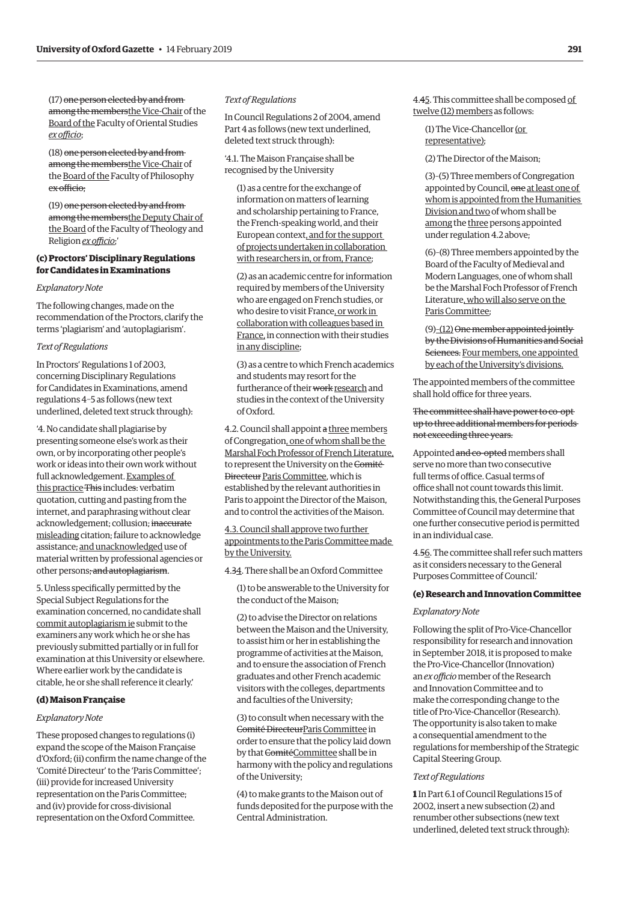<span id="page-2-0"></span>(17) one person elected by and from among the membersthe Vice-Chair of the Board of the Faculty of Oriental Studies *ex officio*;

(18) one person elected by and from among the membersthe Vice-Chair of the Board of the Faculty of Philosophy ex officio;

(19) one person elected by and from among the membersthe Deputy Chair of the Board of the Faculty of Theology and Religion *ex officio*;'

# **(c) Proctors' Disciplinary Regulations for Candidates in Examinations**

## *Explanatory Note*

The following changes, made on the recommendation of the Proctors, clarify the terms 'plagiarism' and 'autoplagiarism'.

# *Text of Regulations*

In Proctors' Regulations 1 of 2003, concerning Disciplinary Regulations for Candidates in Examinations, amend regulations 4–5 as follows (new text underlined, deleted text struck through):

'4. No candidate shall plagiarise by presenting someone else's work as their own, or by incorporating other people's work or ideas into their own work without full acknowledgement. Examples of this practice This includes: verbatim quotation, cutting and pasting from the internet, and paraphrasing without clear acknowledgement; collusion; inaccurate misleading citation; failure to acknowledge assistance; and unacknowledged use of material written by professional agencies or other persons; and autoplagiarism.

5. Unless specifically permitted by the Special Subject Regulations for the examination concerned, no candidate shall commit autoplagiarism ie submit to the examiners any work which he or she has previously submitted partially or in full for examination at this University or elsewhere. Where earlier work by the candidate is citable, he or she shall reference it clearly.'

# **(d) Maison Française**

#### *Explanatory Note*

These proposed changes to regulations (i) expand the scope of the Maison Française d'Oxford; (ii) confirm the name change of the 'Comité Directeur' to the 'Paris Committee'; (iii) provide for increased University representation on the Paris Committee; and (iv) provide for cross-divisional representation on the Oxford Committee.

#### *Text of Regulations*

In Council Regulations 2 of 2004, amend Part 4 as follows (new text underlined, deleted text struck through):

'4.1. The Maison Française shall be recognised by the University

(1) as a centre for the exchange of information on matters of learning and scholarship pertaining to France, the French-speaking world, and their European context, and for the support of projects undertaken in collaboration with researchers in, or from, France;

(2) as an academic centre for information required by members of the University who are engaged on French studies, or who desire to visit France, or work in collaboration with colleagues based in France, in connection with their studies in any discipline;

(3) as a centre to which French academics and students may resort for the furtherance of their work research and studies in the context of the University of Oxford.

4.2. Council shall appoint a three members of Congregation, one of whom shall be the Marshal Foch Professor of French Literature, to represent the University on the Comité Directeur Paris Committee, which is established by the relevant authorities in Paris to appoint the Director of the Maison, and to control the activities of the Maison.

4.3. Council shall approve two further appointments to the Paris Committee made by the University.

4.34. There shall be an Oxford Committee

(1) to be answerable to the University for the conduct of the Maison;

(2) to advise the Director on relations between the Maison and the University, to assist him or her in establishing the programme of activities at the Maison, and to ensure the association of French graduates and other French academic visitors with the colleges, departments and faculties of the University;

(3) to consult when necessary with the Comité DirecteurParis Committee in order to ensure that the policy laid down by that ComitéCommittee shall be in harmony with the policy and regulations of the University;

(4) to make grants to the Maison out of funds deposited for the purpose with the Central Administration.

4.45. This committee shall be composed of twelve (12) members as follows:

(1) The Vice-Chancellor (or representative);

(2) The Director of the Maison;

(3)–(5) Three members of Congregation appointed by Council, one at least one of whom is appointed from the Humanities Division and two of whom shall be among the three persons appointed under regulation 4.2 above;

(6)–(8) Three members appointed by the Board of the Faculty of Medieval and Modern Languages, one of whom shall be the Marshal Foch Professor of French Literature, who will also serve on the Paris Committee;

 $(9)$ – $(12)$  One member appointed jointlyby the Divisions of Humanities and Social Sciences. Four members, one appointed by each of the University's divisions.

The appointed members of the committee shall hold office for three years.

The committee shall have power to co-opt up to three additional members for periods not exceeding three years.

Appointed and co-opted members shall serve no more than two consecutive full terms of office. Casual terms of office shall not count towards this limit. Notwithstanding this, the General Purposes Committee of Council may determine that one further consecutive period is permitted in an individual case.

4.56. The committee shall refer such matters as it considers necessary to the General Purposes Committee of Council.'

# **(e) Research and Innovation Committee**

#### *Explanatory Note*

Following the split of Pro-Vice-Chancellor responsibility for research and innovation in September 2018, it is proposed to make the Pro-Vice-Chancellor (Innovation) an *ex officio* member of the Research and Innovation Committee and to make the corresponding change to the title of Pro-Vice-Chancellor (Research). The opportunity is also taken to make a consequential amendment to the regulations for membership of the Strategic Capital Steering Group.

# *Text of Regulations*

**1** In Part 6.1 of Council Regulations 15 of 2002, insert a new subsection (2) and renumber other subsections (new text underlined, deleted text struck through):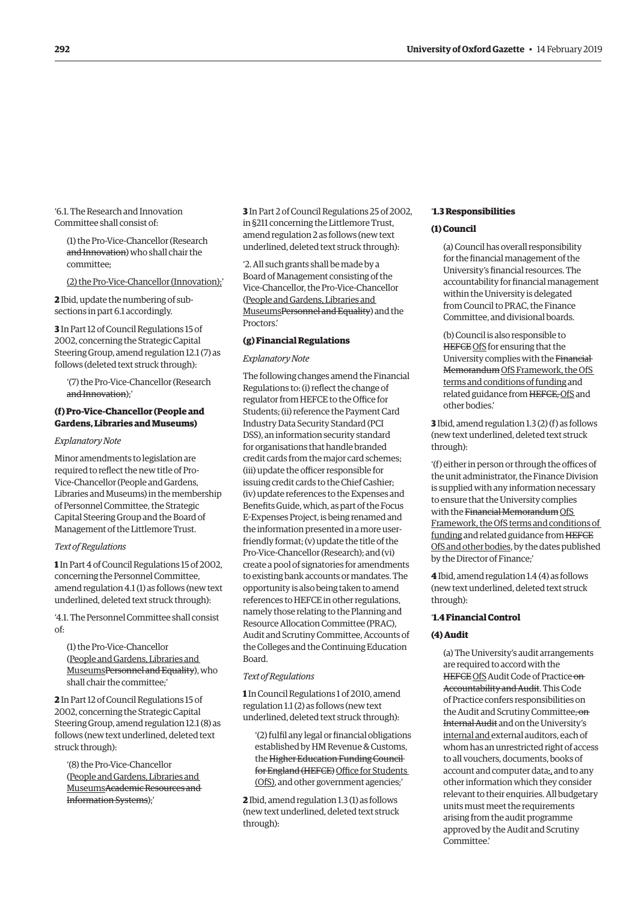<span id="page-3-0"></span>'6.1. The Research and Innovation Committee shall consist of:

(1) the Pro-Vice-Chancellor (Research and Innovation) who shall chair the committee;

(2) the Pro-Vice-Chancellor (Innovation);'

**2** Ibid, update the numbering of subsections in part 6.1 accordingly.

**3** In Part 12 of Council Regulations 15 of 2002, concerning the Strategic Capital Steering Group, amend regulation 12.1 (7) as follows (deleted text struck through):

'(7) the Pro-Vice-Chancellor (Research and Innovation);'

# **(f) Pro-Vice-Chancellor (People and Gardens, Libraries and Museums)**

#### *Explanatory Note*

Minor amendments to legislation are required to reflect the new title of Pro-Vice-Chancellor (People and Gardens, Libraries and Museums) in the membership of Personnel Committee, the Strategic Capital Steering Group and the Board of Management of the Littlemore Trust.

# *Text of Regulations*

**1** In Part 4 of Council Regulations 15 of 2002, concerning the Personnel Committee, amend regulation 4.1 (1) as follows (new text underlined, deleted text struck through):

'4.1. The Personnel Committee shall consist of:

(1) the Pro-Vice-Chancellor (People and Gardens, Libraries and MuseumsPersonnel and Equality), who shall chair the committee;'

**2** In Part 12 of Council Regulations 15 of 2002, concerning the Strategic Capital Steering Group, amend regulation 12.1 (8) as follows (new text underlined, deleted text struck through):

'(8) the Pro-Vice-Chancellor (People and Gardens, Libraries and MuseumsAcademic Resources and Information Systems);'

**3** In Part 2 of Council Regulations 25 of 2002, in §211 concerning the Littlemore Trust, amend regulation 2 as follows (new text underlined, deleted text struck through):

'2. All such grants shall be made by a Board of Management consisting of the Vice-Chancellor, the Pro-Vice-Chancellor (People and Gardens, Libraries and MuseumsPersonnel and Equality) and the Proctors.'

#### **(g) Financial Regulations**

#### *Explanatory Note*

The following changes amend the Financial Regulations to: (i) reflect the change of regulator from HEFCE to the Office for Students; (ii) reference the Payment Card Industry Data Security Standard (PCI DSS), an information security standard for organisations that handle branded credit cards from the major card schemes; (iii) update the officer responsible for issuing credit cards to the Chief Cashier; (iv) update references to the Expenses and Benefits Guide, which, as part of the Focus E-Expenses Project, is being renamed and the information presented in a more userfriendly format; (v) update the title of the Pro-Vice-Chancellor (Research); and (vi) create a pool of signatories for amendments to existing bank accounts or mandates. The opportunity is also being taken to amend references to HEFCE in other regulations, namely those relating to the Planning and Resource Allocation Committee (PRAC), Audit and Scrutiny Committee, Accounts of the Colleges and the Continuing Education Board.

# *Text of Regulations*

**1** In Council Regulations 1 of 2010, amend regulation 1.1 (2) as follows (new text underlined, deleted text struck through):

'(2) fulfil any legal or financial obligations established by HM Revenue & Customs, the Higher Education Funding Council for England (HEFCE) Office for Students (OfS), and other government agencies;'

**2** Ibid, amend regulation 1.3 (1) as follows (new text underlined, deleted text struck through):

#### '**1.3 Responsibilities**

# **(1) Council**

(a) Council has overall responsibility for the financial management of the University's financial resources. The accountability for financial management within the University is delegated from Council to PRAC, the Finance Committee, and divisional boards.

(b) Council is also responsible to HEFCE OfS for ensuring that the University complies with the Financial Memorandum OfS Framework, the OfS terms and conditions of funding and related guidance from HEFCE, OfS and other bodies.'

**3** Ibid, amend regulation 1.3 (2) (f) as follows (new text underlined, deleted text struck through):

'(f) either in person or through the offices of the unit administrator, the Finance Division is supplied with any information necessary to ensure that the University complies with the Financial Memorandum OfS Framework, the OfS terms and conditions of funding and related guidance from HEFCE OfS and other bodies, by the dates published by the Director of Finance;'

**4** Ibid, amend regulation 1.4 (4) as follows (new text underlined, deleted text struck through):

# '**1.4 Financial Control**

#### **(4) Audit**

(a) The University's audit arrangements are required to accord with the HEFCE OfS Audit Code of Practice on Accountability and Audit. This Code of Practice confers responsibilities on the Audit and Scrutiny Committee, on Internal Audit and on the University's internal and external auditors, each of whom has an unrestricted right of access to all vouchers, documents, books of account and computer data;, and to any other information which they consider relevant to their enquiries. All budgetary units must meet the requirements arising from the audit programme approved by the Audit and Scrutiny Committee.'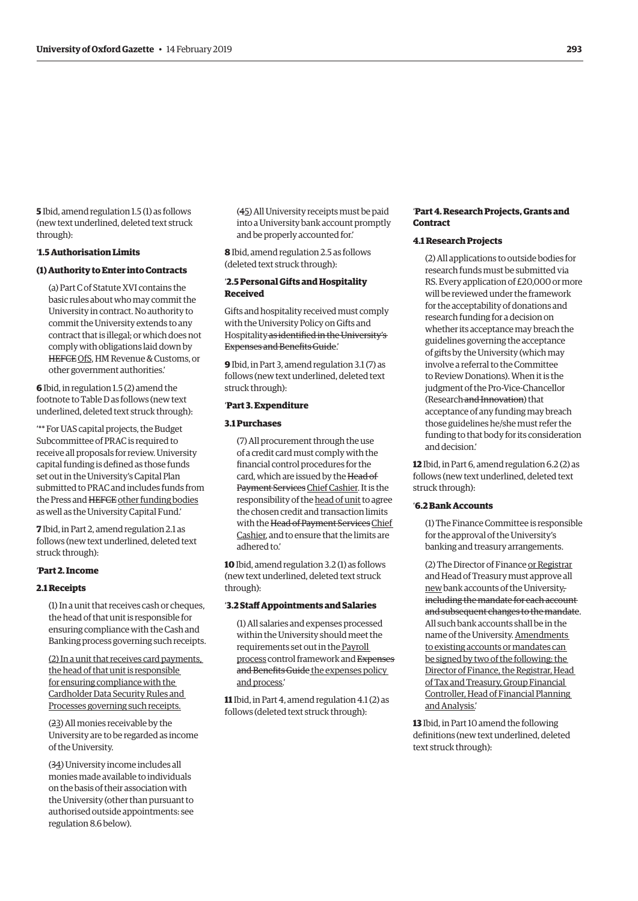**5** Ibid, amend regulation 1.5 (1) as follows (new text underlined, deleted text struck through):

# '**1.5 Authorisation Limits**

# **(1) Authority to Enter into Contracts**

(a) Part C of Statute XVI contains the basic rules about who may commit the University in contract. No authority to commit the University extends to any contract that is illegal; or which does not comply with obligations laid down by HEFCE OfS, HM Revenue & Customs, or other government authorities.'

**6** Ibid, in regulation 1.5 (2) amend the footnote to Table D as follows (new text underlined, deleted text struck through):

'\*\* For UAS capital projects, the Budget Subcommittee of PRAC is required to receive all proposals for review. University capital funding is defined as those funds set out in the University's Capital Plan submitted to PRAC and includes funds from the Press and HEFCE other funding bodies as well as the University Capital Fund.'

**7** Ibid, in Part 2, amend regulation 2.1 as follows (new text underlined, deleted text struck through):

#### '**Part 2. Income**

#### **2.1 Receipts**

(1) In a unit that receives cash or cheques, the head of that unit is responsible for ensuring compliance with the Cash and Banking process governing such receipts.

(2) In a unit that receives card payments, the head of that unit is responsible for ensuring compliance with the Cardholder Data Security Rules and Processes governing such receipts.

(23) All monies receivable by the University are to be regarded as income of the University.

(34) University income includes all monies made available to individuals on the basis of their association with the University (other than pursuant to authorised outside appointments: see regulation 8.6 below).

(45) All University receipts must be paid into a University bank account promptly and be properly accounted for.'

**8** Ibid, amend regulation 2.5 as follows (deleted text struck through):

# '**2.5 Personal Gifts and Hospitality Received**

Gifts and hospitality received must comply with the University Policy on Gifts and Hospitality as identified in the University's Expenses and Benefits Guide.'

**9** Ibid, in Part 3, amend regulation 3.1 (7) as follows (new text underlined, deleted text struck through):

# '**Part 3. Expenditure**

#### **3.1 Purchases**

(7) All procurement through the use of a credit card must comply with the financial control procedures for the card, which are issued by the Head of Payment Services Chief Cashier. It is the responsibility of the head of unit to agree the chosen credit and transaction limits with the Head of Payment Services Chief Cashier, and to ensure that the limits are adhered to.'

**10** Ibid, amend regulation 3.2 (1) as follows (new text underlined, deleted text struck through):

#### '**3.2 Staff Appointments and Salaries**

(1) All salaries and expenses processed within the University should meet the requirements set out in the Payroll process control framework and Expenses and Benefits Guide the expenses policy and process.'

**11** Ibid, in Part 4, amend regulation 4.1 (2) as follows (deleted text struck through):

#### '**Part 4. Research Projects, Grants and Contract**

# **4.1 Research Projects**

(2) All applications to outside bodies for research funds must be submitted via RS. Every application of £20,000 or more will be reviewed under the framework for the acceptability of donations and research funding for a decision on whether its acceptance may breach the guidelines governing the acceptance of gifts by the University (which may involve a referral to the Committee to Review Donations). When it is the judgment of the Pro-Vice-Chancellor (Research and Innovation) that acceptance of any funding may breach those guidelines he/she must refer the funding to that body for its consideration and decision.'

**12** Ibid, in Part 6, amend regulation 6.2 (2) as follows (new text underlined, deleted text struck through):

# '**6.2 Bank Accounts**

(1) The Finance Committee is responsible for the approval of the University's banking and treasury arrangements.

(2) The Director of Finance or Registrar and Head of Treasury must approve all new bank accounts of the University, including the mandate for each account and subsequent changes to the mandate. All such bank accounts shall be in the name of the University. Amendments to existing accounts or mandates can be signed by two of the following: the Director of Finance, the Registrar, Head of Tax and Treasury, Group Financial Controller, Head of Financial Planning and Analysis.'

**13** Ibid, in Part 10 amend the following definitions (new text underlined, deleted text struck through):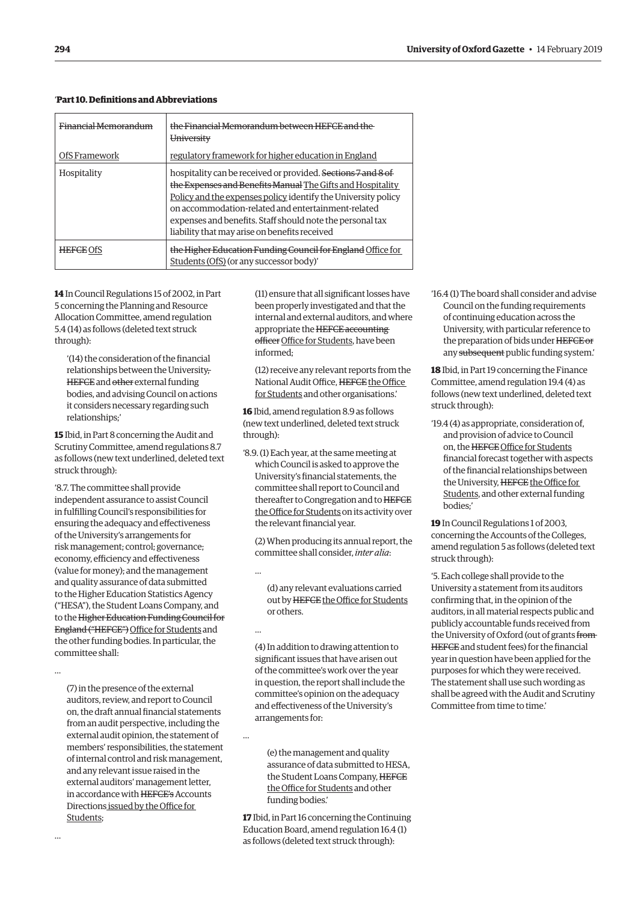| Financial Memorandum<br>OfS Framework | the Financial Memorandum between HEFCE and the<br>University<br>regulatory framework for higher education in England                                                                                                                                                                                                                                            |
|---------------------------------------|-----------------------------------------------------------------------------------------------------------------------------------------------------------------------------------------------------------------------------------------------------------------------------------------------------------------------------------------------------------------|
| Hospitality                           | hospitality can be received or provided. Sections 7 and 8 of<br>the Expenses and Benefits Manual The Gifts and Hospitality<br>Policy and the expenses policy identify the University policy<br>on accommodation-related and entertainment-related<br>expenses and benefits. Staff should note the personal tax<br>liability that may arise on benefits received |
| <b>HEFCE OfS</b>                      | the Higher Education Funding Council for England Office for<br>Students (OfS) (or any successor body)'                                                                                                                                                                                                                                                          |

# '**Part 10. Definitions and Abbreviations**

**14** In Council Regulations 15 of 2002, in Part 5 concerning the Planning and Resource Allocation Committee, amend regulation 5.4 (14) as follows (deleted text struck through):

'(14) the consideration of the financial relationships between the University, HEFCE and other external funding bodies, and advising Council on actions it considers necessary regarding such relationships;'

**15** Ibid, in Part 8 concerning the Audit and Scrutiny Committee, amend regulations 8.7 as follows (new text underlined, deleted text struck through):

'8.7. The committee shall provide independent assurance to assist Council in fulfilling Council's responsibilities for ensuring the adequacy and effectiveness of the University's arrangements for risk management; control; governance; economy, efficiency and effectiveness (value for money); and the management and quality assurance of data submitted to the Higher Education Statistics Agency ("HESA"), the Student Loans Company, and to the Higher Education Funding Council for England ("HEFCE") Office for Students and the other funding bodies. In particular, the committee shall:

…

…

(7) in the presence of the external auditors, review, and report to Council on, the draft annual financial statements from an audit perspective, including the external audit opinion, the statement of members' responsibilities, the statement of internal control and risk management, and any relevant issue raised in the external auditors' management letter, in accordance with HEFCE's Accounts Directions issued by the Office for Students;

(11) ensure that all significant losses have been properly investigated and that the internal and external auditors, and where appropriate the HEFCE accounting officer Office for Students, have been informed;

(12) receive any relevant reports from the National Audit Office, HEFCE the Office for Students and other organisations.'

**16** Ibid, amend regulation 8.9 as follows (new text underlined, deleted text struck through):

'8.9. (1) Each year, at the same meeting at which Council is asked to approve the University's financial statements, the committee shall report to Council and thereafter to Congregation and to HEFCE the Office for Students on its activity over the relevant financial year.

(2) When producing its annual report, the committee shall consider, *inter alia*:

…

…

…

(d) any relevant evaluations carried out by HEFCE the Office for Students or others.

(4) In addition to drawing attention to significant issues that have arisen out of the committee's work over the year in question, the report shall include the committee's opinion on the adequacy and effectiveness of the University's arrangements for:

(e) the management and quality assurance of data submitted to HESA, the Student Loans Company, HEFCE the Office for Students and other funding bodies.'

**17** Ibid, in Part 16 concerning the Continuing Education Board, amend regulation 16.4 (1) as follows (deleted text struck through):

'16.4 (1) The board shall consider and advise Council on the funding requirements of continuing education across the University, with particular reference to the preparation of bids under HEFCE or any subsequent public funding system.'

**18** Ibid, in Part 19 concerning the Finance Committee, amend regulation 19.4 (4) as follows (new text underlined, deleted text struck through):

'19.4 (4) as appropriate, consideration of, and provision of advice to Council on, the HEFCE Office for Students financial forecast together with aspects of the financial relationships between the University, HEFCE the Office for Students, and other external funding bodies;'

**19** In Council Regulations 1 of 2003, concerning the Accounts of the Colleges, amend regulation 5 as follows (deleted text struck through):

'5. Each college shall provide to the University a statement from its auditors confirming that, in the opinion of the auditors, in all material respects public and publicly accountable funds received from the University of Oxford (out of grants from HEFCE and student fees) for the financial year in question have been applied for the purposes for which they were received. The statement shall use such wording as shall be agreed with the Audit and Scrutiny Committee from time to time.'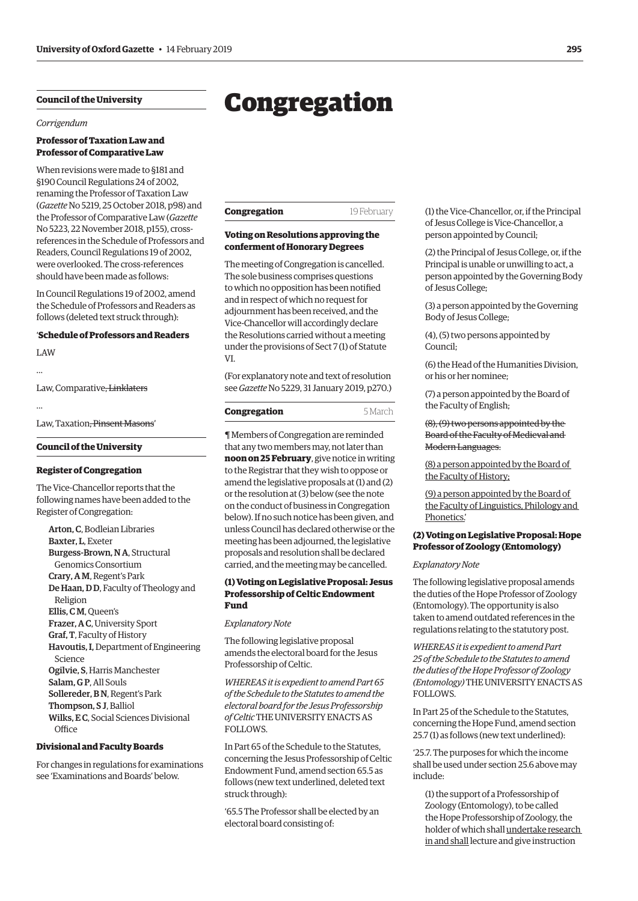# <span id="page-6-0"></span>**Council of the University**

*Corrigendum*

## **Professor of Taxation Law and Professor of Comparative Law**

When revisions were made to §181 and §190 Council Regulations 24 of 2002, renaming the Professor of Taxation Law (*Gazette* [No 5219, 25 October 2018, p98\) a](https://gazette.web.ox.ac.uk/sites/default/files/gazette/documents/media/25_october_2018_-_no_5219_redacted.pdf)nd the Professor of Comparative Law (*Gazette* [No 5223, 22 November 2018, p155\), cross](https://gazette.web.ox.ac.uk/files/22november2018-no5223redactedpdf)references in the Schedule of Professors and Readers, Council Regulations 19 of 2002, were overlooked. The cross-references should have been made as follows:

In Council Regulations 19 of 2002, amend the Schedule of Professors and Readers as follows (deleted text struck through):

# '**Schedule of Professors and Readers**

LAW …

Law, Comparative, Linklaters

…

Law, Taxation, Pinsent Masons'

#### **Council of the University**

#### **Register of Congregation**

The Vice-Chancellor reports that the following names have been added to the Register of Congregation:

Arton, C, Bodleian Libraries Baxter, L, Exeter Burgess-Brown, N A, Structural Genomics Consortium Crary, A M, Regent's Park De Haan, D D, Faculty of Theology and Religion Ellis, C M, Queen's Frazer, A C, University Sport Graf, T, Faculty of History Havoutis, I, Department of Engineering Science Ogilvie, S, Harris Manchester Salam, G P, All Souls Sollereder, B N, Regent's Park Thompson, S J, Balliol Wilks, E C, Social Sciences Divisional **Office** 

#### **Divisional and Faculty Boards**

For changes in regulations for examinations see 'Examinations and Boards' below.

| <b>Congregation</b> | 19 February |
|---------------------|-------------|

# **Voting on Resolutions approving the conferment of Honorary Degrees**

The meeting of Congregation is cancelled. The sole business comprises questions to which no opposition has been notified and in respect of which no request for adjournment has been received, and the Vice-Chancellor will accordingly declare the Resolutions carried without a meeting under the provisions of Sect 7 (1) of Statute VI.

(For explanatory note and text of resolution see *Gazette* [No 5229, 31 January 2019, p270.\)](https://gazette.web.ox.ac.uk/files/31january2019-no5229redactedpdf)

| Congregation | 5 March |
|--------------|---------|
|              |         |

¶ Members of Congregation are reminded that any two members may, not later than **noon on 25 February**, give notice in writing to the Registrar that they wish to oppose or amend the legislative proposals at (1) and (2) or the resolution at (3) below (see the note on the conduct of business in Congregation below). If no such notice has been given, and unless Council has declared otherwise or the meeting has been adjourned, the legislative proposals and resolution shall be declared carried, and the meeting may be cancelled.

# **(1) Voting on Legislative Proposal: Jesus Professorship of Celtic Endowment Fund**

*Explanatory Note*

The following legislative proposal amends the electoral board for the Jesus Professorship of Celtic.

*WHEREAS it is expedient to amend Part 65 of the Schedule to the Statutes to amend the electoral board for the Jesus Professorship of Celtic* THE UNIVERSITY ENACTS AS FOLLOWS.

In Part 65 of the Schedule to the Statutes, concerning the Jesus Professorship of Celtic Endowment Fund, amend section 65.5 as follows (new text underlined, deleted text struck through):

'65.5 The Professor shall be elected by an electoral board consisting of:

(1) the Vice-Chancellor, or, if the Principal of Jesus College is Vice-Chancellor, a person appointed by Council;

(2) the Principal of Jesus College, or, if the Principal is unable or unwilling to act, a person appointed by the Governing Body of Jesus College;

(3) a person appointed by the Governing Body of Jesus College;

(4), (5) two persons appointed by Council;

(6) the Head of the Humanities Division, or his or her nominee;

(7) a person appointed by the Board of the Faculty of English;

(8), (9) two persons appointed by the Board of the Faculty of Medieval and Modern Languages.

(8) a person appointed by the Board of the Faculty of History;

(9) a person appointed by the Board of the Faculty of Linguistics, Philology and Phonetics.'

# **(2) Voting on Legislative Proposal: Hope Professor of Zoology (Entomology)**

#### *Explanatory Note*

The following legislative proposal amends the duties of the Hope Professor of Zoology (Entomology). The opportunity is also taken to amend outdated references in the regulations relating to the statutory post.

*WHEREAS it is expedient to amend Part 25 of the Schedule to the Statutes to amend the duties of the Hope Professor of Zoology (Entomology)* THE UNIVERSITY ENACTS AS FOLLOWS.

In Part 25 of the Schedule to the Statutes, concerning the Hope Fund, amend section 25.7 (1) as follows (new text underlined):

'25.7. The purposes for which the income shall be used under section 25.6 above may include:

(1) the support of a Professorship of Zoology (Entomology), to be called the Hope Professorship of Zoology, the holder of which shall undertake research in and shall lecture and give instruction

# Congregation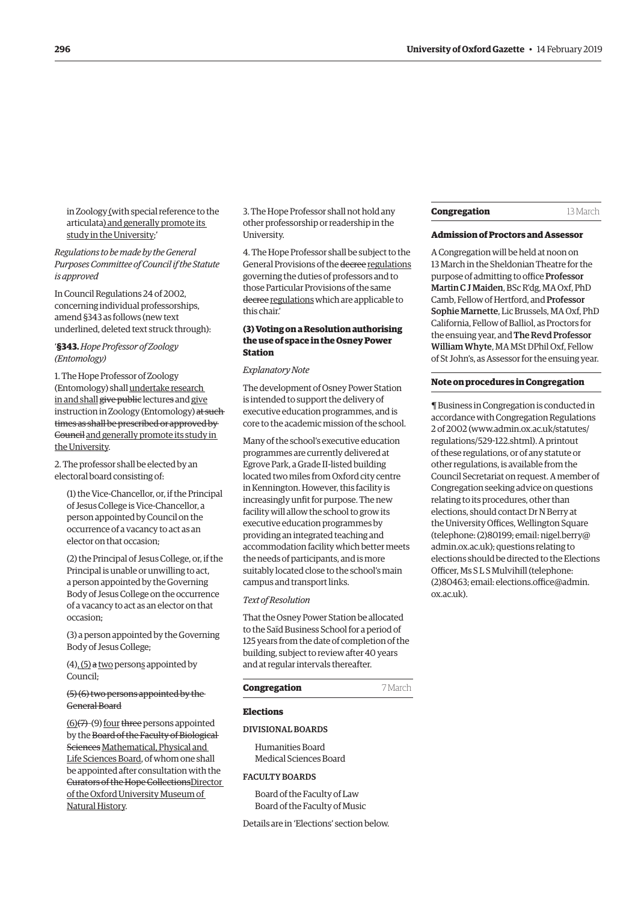<span id="page-7-0"></span>in Zoology (with special reference to the articulata) and generally promote its study in the University;'

*Regulations to be made by the General Purposes Committee of Council if the Statute is approved*

In Council Regulations 24 of 2002, concerning individual professorships, amend §343 as follows (new text underlined, deleted text struck through):

'**§343.** *Hope Professor of Zoology (Entomology)*

1. The Hope Professor of Zoology (Entomology) shall undertake research in and shall give public lectures and give instruction in Zoology (Entomology) at such times as shall be prescribed or approved by Council and generally promote its study in the University.

2. The professor shall be elected by an electoral board consisting of:

(1) the Vice-Chancellor, or, if the Principal of Jesus College is Vice-Chancellor, a person appointed by Council on the occurrence of a vacancy to act as an elector on that occasion;

(2) the Principal of Jesus College, or, if the Principal is unable or unwilling to act, a person appointed by the Governing Body of Jesus College on the occurrence of a vacancy to act as an elector on that occasion;

(3) a person appointed by the Governing Body of Jesus College;

 $(4)$ ,  $(5)$  a two persons appointed by Council;

(5) (6) two persons appointed by the General Board

 $(6)(7)-(9)$  four three persons appointed by the Board of the Faculty of Biological Sciences Mathematical, Physical and Life Sciences Board, of whom one shall be appointed after consultation with the Curators of the Hope CollectionsDirector of the Oxford University Museum of Natural History.

3. The Hope Professor shall not hold any other professorship or readership in the University.

4. The Hope Professor shall be subject to the General Provisions of the decree regulations governing the duties of professors and to those Particular Provisions of the same decree regulations which are applicable to this chair.'

# **(3) Voting on a Resolution authorising the use of space in the Osney Power Station**

#### *Explanatory Note*

The development of Osney Power Station is intended to support the delivery of executive education programmes, and is core to the academic mission of the school.

Many of the school's executive education programmes are currently delivered at Egrove Park, a Grade II-listed building located two miles from Oxford city centre in Kennington. However, this facility is increasingly unfit for purpose. The new facility will allow the school to grow its executive education programmes by providing an integrated teaching and accommodation facility which better meets the needs of participants, and is more suitably located close to the school's main campus and transport links.

#### *Text of Resolution*

That the Osney Power Station be allocated to the Saïd Business School for a period of 125 years from the date of completion of the building, subject to review after 40 years and at regular intervals thereafter.

# **Congregation** 7 March

# **Elections**

#### DIVISIONAL BOARDS

Humanities Board Medical Sciences Board

# FACULTY BOARDS

Board of the Faculty of Law Board of the Faculty of Music

Details are in 'Elections' section below.

#### **Congregation** 13 March

## **Admission of Proctors and Assessor**

A Congregation will be held at noon on 13 March in the Sheldonian Theatre for the purpose of admitting to office Professor Martin C J Maiden, BSc R'dg, MA Oxf, PhD Camb, Fellow of Hertford, and Professor Sophie Marnette, Lic Brussels, MA Oxf, PhD California, Fellow of Balliol, as Proctors for the ensuing year, and The Revd Professor William Whyte, MA MSt DPhil Oxf, Fellow of St John's, as Assessor for the ensuing year.

# **Note on procedures in Congregation**

¶ Business in Congregation is conducted in accordance with Congregation Regulations 2 of 2002 [\(www.admin.ox.ac.uk/statutes/](http://www.admin.ox.ac.uk/statutes/regulations/529-122.shtml) [regulations/529-122.shtml\). A p](http://www.admin.ox.ac.uk/statutes/regulations/529-122.shtml)rintout of these regulations, or of any statute or other regulations, is available from the Council Secretariat on request. A member of Congregation seeking advice on questions relating to its procedures, other than elections, should contact Dr N Berry at the University Offices, Wellington Square [\(telephone: \(2\)80199; email: nigel.berry@](mailto:nigel.berry@admin.ox.ac.uk) admin.ox.ac.uk); questions relating to elections should be directed to the Elections Officer, Ms S L S Mulvihill (telephone: [\(2\)80463; email: elections.office@admin.](mailto:elections.office@admin.ox.ac.uk) ox.ac.uk).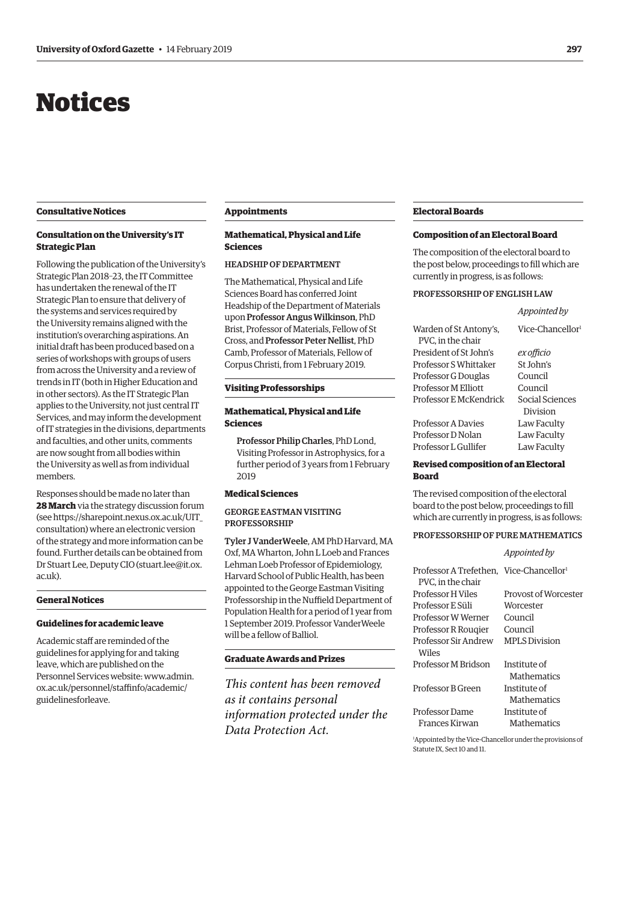# <span id="page-8-0"></span>Notices

# **Consultative Notices**

# **Consultation on the University's IT Strategic Plan**

Following the publication of the University's Strategic Plan 2018–23, the IT Committee has undertaken the renewal of the IT Strategic Plan to ensure that delivery of the systems and services required by the University remains aligned with the institution's overarching aspirations. An initial draft has been produced based on a series of workshops with groups of users from across the University and a review of trends in IT (both in Higher Education and in other sectors). As the IT Strategic Plan applies to the University, not just central IT Services, and may inform the development of IT strategies in the divisions, departments and faculties, and other units, comments are now sought from all bodies within the University as well as from individual members.

Responses should be made no later than **28 March** via the strategy discussion forum (see [https://sharepoint.nexus.ox.ac.uk/UIT\\_](https://sharepoint.nexus.ox.ac.uk/UIT_consultation)) [consultation\)](https://sharepoint.nexus.ox.ac.uk/UIT_consultation)) where an electronic version of the strategy and more information can be found. Further details can be obtained from Dr Stuart Lee, Deputy CIO [\(stuart.lee@it.ox.](mailto:(stuart.lee@it.ox.ac.uk) [ac.uk\)](mailto:(stuart.lee@it.ox.ac.uk).

#### **General Notices**

# **Guidelines for academic leave**

Academic staff are reminded of the guidelines for applying for and taking leave, which are published on the Personnel Services website: [www.admin.](http://www.admin.ox.ac.uk/personnel/staffinfo/academic/guidelinesforleave.) [ox.ac.uk/personnel/staffinfo/academic/](http://www.admin.ox.ac.uk/personnel/staffinfo/academic/guidelinesforleave.) [guidelinesforleave.](http://www.admin.ox.ac.uk/personnel/staffinfo/academic/guidelinesforleave.)

#### **Appointments**

# **Mathematical, Physical and Life Sciences**

## HEADSHIP OF DEPARTMENT

The Mathematical, Physical and Life Sciences Board has conferred Joint Headship of the Department of Materials upon Professor Angus Wilkinson, PhD Brist, Professor of Materials, Fellow of St Cross, and Professor Peter Nellist, PhD Camb, Professor of Materials, Fellow of Corpus Christi, from 1 February 2019.

#### **Visiting Professorships**

# **Mathematical, Physical and Life Sciences**

Professor Philip Charles, PhD Lond, Visiting Professor in Astrophysics, for a further period of 3 years from 1 February 2019

## **Medical Sciences**

# GEORGE EASTMAN VISITING PROFESSORSHIP

Tyler J VanderWeele, AM PhD Harvard, MA Oxf, MA Wharton, John L Loeb and Frances Lehman Loeb Professor of Epidemiology, Harvard School of Public Health, has been appointed to the George Eastman Visiting Professorship in the Nuffield Department of Population Health for a period of 1 year from 1 September 2019. Professor VanderWeele will be a fellow of Balliol.

## **Graduate Awards and Prizes**

*This content has been removed as it contains personal information protected under the Data Protection Act.*

## **Electoral Boards**

#### **Composition of an Electoral Board**

The composition of the electoral board to the post below, proceedings to fill which are currently in progress, is as follows:

*Appointed by*

#### PROFESSORSHIP OF ENGLISH LAW

| Warden of St Antony's,              | Vice-Chancellor <sup>1</sup> |  |
|-------------------------------------|------------------------------|--|
| PVC, in the chair                   |                              |  |
| President of St John's              | ex officio                   |  |
| Professor S Whittaker               | St John's                    |  |
| Professor G Douglas                 | Council                      |  |
| <b>Professor M Elliott</b>          | Council                      |  |
| Professor E McKendrick              | Social Sciences              |  |
|                                     | Division                     |  |
| <b>Professor A Davies</b>           | Law Faculty                  |  |
| Professor D Nolan                   | Law Faculty                  |  |
| Professor L Gullifer                | Law Faculty                  |  |
| Denisad esmuacitism af an Plantanel |                              |  |

#### **Revised composition of an Electoral Board**

The revised composition of the electoral board to the post below, proceedings to fill which are currently in progress, is as follows:

## PROFESSORSHIP OF PURE MATHEMATICS

|                                                                          | Appointed by                |
|--------------------------------------------------------------------------|-----------------------------|
| Professor A Trefethen. Vice-Chancellor <sup>1</sup><br>PVC. in the chair |                             |
| Professor H Viles                                                        | Provost of Worcester        |
| Professor E Süli                                                         | Worcester                   |
| Professor W Werner                                                       | Council                     |
| Professor R Rougier                                                      | Council                     |
| Professor Sir Andrew<br>Wiles                                            | <b>MPLS</b> Division        |
| Professor M Bridson                                                      | Institute of<br>Mathematics |
| Professor B Green                                                        | Institute of<br>Mathematics |
| Professor Dame                                                           | Institute of                |
| Frances Kirwan                                                           | Mathematics                 |
|                                                                          |                             |

1 Appointed by the Vice-Chancellor under the provisions of Statute IX, Sect 10 and 11.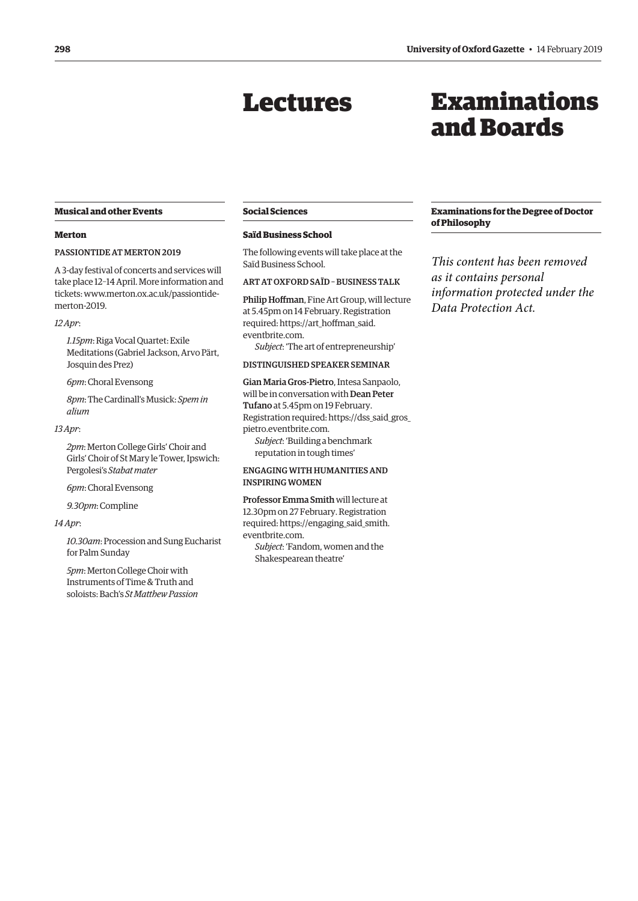# Lectures

# Examinations and Boards

# <span id="page-9-0"></span>**Musical and other Events**

#### **Merton**

# PASSIONTIDE AT MERTON 2019

A 3-day festival of concerts and services will take place 12–14 April. More information and tickets: [www.merton.ox.ac.uk/passiontide](https://www.merton.ox.ac.uk/event/passiontide-merton-0)[merton-2019.](https://www.merton.ox.ac.uk/event/passiontide-merton-0)

#### *12 Apr*:

*1.15pm*: Riga Vocal Quartet: Exile Meditations (Gabriel Jackson, Arvo Pärt, Josquin des Prez)

*6pm*: Choral Evensong

*8pm*: The Cardinall's Musick: *Spem in alium*

#### *13 Apr*:

*2pm*: Merton College Girls' Choir and Girls' Choir of St Mary le Tower, Ipswich: Pergolesi's *Stabat mater*

*6pm*: Choral Evensong

*9.30pm*: Compline

#### *14 Apr*:

*10.30am*: Procession and Sung Eucharist for Palm Sunday

*5pm*: Merton College Choir with Instruments of Time & Truth and soloists: Bach's *St Matthew Passion*

# **Social Sciences**

#### **Saïd Business School**

The following events will take place at the Saïd Business School.

# ART AT OXFORD SAÏD – BUSINESS TALK

Philip Hoffman, Fine Art Group, will lecture at 5.45pm on 14 February. Registration [required: https://art\\_hoffman\\_said.](https://art_hoffman_said.eventbrite.com) eventbrite.com.

*Subject*: 'The art of entrepreneurship'

#### DISTINGUISHED SPEAKER SEMINAR

Gian Maria Gros-Pietro, Intesa Sanpaolo, will be in conversation with Dean Peter Tufano at 5.45pm on 19 February. [Registration required: https://dss\\_said\\_gros\\_](https://dss_said_gros_pietro.eventbrite.com) pietro.eventbrite.com. *Subject*: 'Building a benchmark reputation in tough times'

# ENGAGING WITH HUMANITIES AND INSPIRING WOMEN

Professor Emma Smith will lecture at 12.30pm on 27 February. Registration [required: https://engaging\\_said\\_smith.](https://engaging_said_smith.eventbrite.com) eventbrite.com.

*Subject*: 'Fandom, women and the Shakespearean theatre'

# **Examinations for the Degree of Doctor of Philosophy**

*This content has been removed as it contains personal information protected under the Data Protection Act.*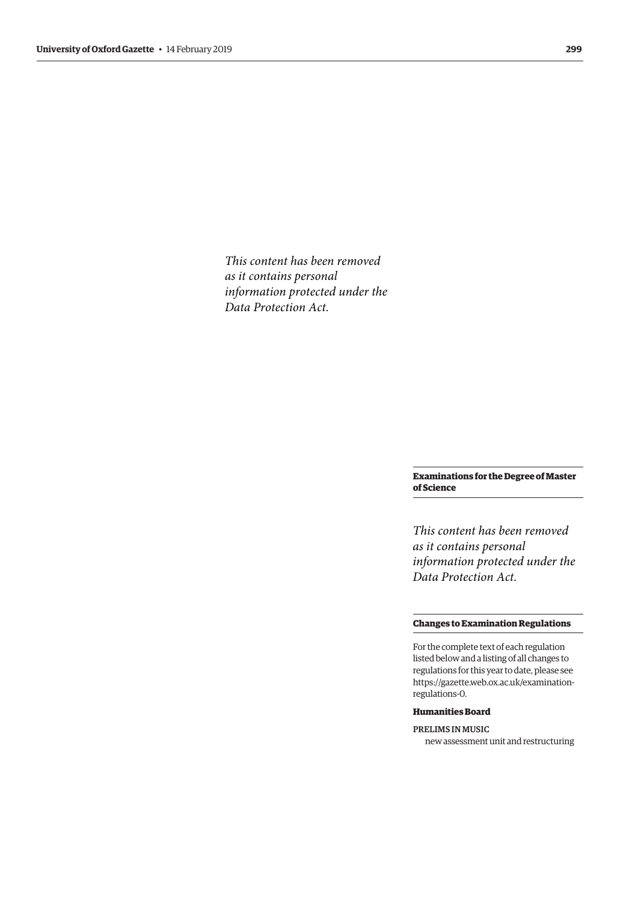<span id="page-10-0"></span>*This content has been removed as it contains personal information protected under the Data Protection Act.*

# **Examinations for the Degree of Master of Science**

*This content has been removed as it contains personal information protected under the Data Protection Act.*

#### **Changes to Examination Regulations**

For the complete text of each regulation listed below and a listing of all changes to regulations for this year to date, please see [https://gazette.web.ox.ac.uk/examination](https://gazette.web.ox.ac.uk/examination-regulations-0)regulations-[0.](https://gazette.web.ox.ac.uk/examination-regulations-0) 

# **Humanities Board**

PRELIMS IN MUSIC new assessment unit and restructuring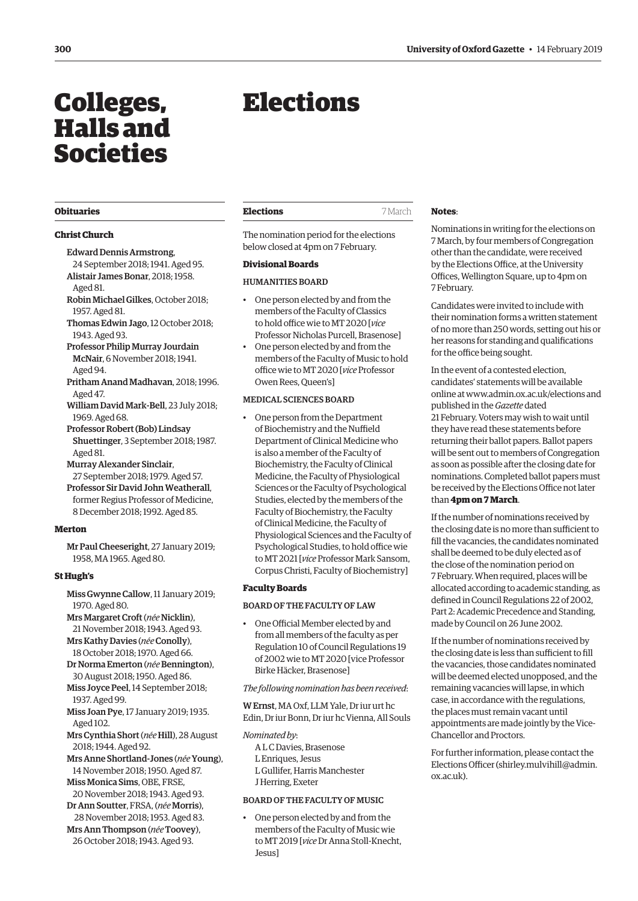# <span id="page-11-0"></span>Colleges, Halls and Societies

#### **Obituaries**

# **Christ Church**

# Edward Dennis Armstrong,

24 September 2018; 1941. Aged 95. Alistair James Bonar, 2018; 1958. Aged 81.

- Robin Michael Gilkes, October 2018; 1957. Aged 81.
- Thomas Edwin Jago, 12 October 2018; 1943. Aged 93.
- Professor Philip Murray Jourdain McNair, 6 November 2018; 1941. Aged 94.
- Pritham Anand Madhavan, 2018; 1996. Aged 47.
- William David Mark-Bell, 23 July 2018; 1969. Aged 68.
- Professor Robert (Bob) Lindsay Shuettinger, 3 September 2018; 1987. Aged 81.
- Murray Alexander Sinclair,
- 27 September 2018; 1979. Aged 57. Professor Sir David John Weatherall, former Regius Professor of Medicine, 8 December 2018; 1992. Aged 85.

#### **Merton**

Mr Paul Cheeseright, 27 January 2019; 1958, MA 1965. Aged 80.

## **St Hugh's**

- Miss Gwynne Callow, 11 January 2019; 1970. Aged 80.
- Mrs Margaret Croft (*née* Nicklin), 21 November 2018; 1943. Aged 93.
- Mrs Kathy Davies (née Conolly), 18 October 2018; 1970. Aged 66.
- Dr Norma Emerton (*née*Bennington), 30 August 2018; 1950. Aged 86.
- Miss Joyce Peel, 14 September 2018; 1937. Aged 99.
- Miss Joan Pye, 17 January 2019; 1935. Aged 102.
- Mrs Cynthia Short (*née* Hill), 28 August 2018; 1944. Aged 92.
- Mrs Anne Shortland-Jones (*née*Young), 14 November 2018; 1950. Aged 87. Miss Monica Sims, OBE, FRSE,
- 20 November 2018; 1943. Aged 93. Dr Ann Soutter, FRSA, (*née* Morris),
- 28 November 2018; 1953. Aged 83.

Mrs Ann Thompson (*née*Toovey), 26 October 2018; 1943. Aged 93.

# Elections

The nomination period for the elections below closed at 4pm on 7 February.

# **Divisional Boards**

# HUMANITIES BOARD

- One person elected by and from the members of the Faculty of Classics to hold office wie to MT 2020 [*vice* Professor Nicholas Purcell, Brasenose]
- One person elected by and from the members of the Faculty of Music to hold office wie to MT 2020 [*vice* Professor Owen Rees, Queen's]

# MEDICAL SCIENCES BOARD

• One person from the Department of Biochemistry and the Nuffield Department of Clinical Medicine who is also a member of the Faculty of Biochemistry, the Faculty of Clinical Medicine, the Faculty of Physiological Sciences or the Faculty of Psychological Studies, elected by the members of the Faculty of Biochemistry, the Faculty of Clinical Medicine, the Faculty of Physiological Sciences and the Faculty of Psychological Studies, to hold office wie to MT 2021 [*vice* Professor Mark Sansom, Corpus Christi, Faculty of Biochemistry]

#### **Faculty Boards**

# BOARD OF THE FACULTY OF LAW

• One Official Member elected by and from all members of the faculty as per Regulation 10 of Council Regulations 19 of 2002 wie to MT 2020 [vice Professor Birke Häcker, Brasenose]

#### *The following nomination has been received*:

W Ernst, MA Oxf, LLM Yale, Dr iur urt hc Edin, Dr iur Bonn, Dr iur hc Vienna, All Souls

*Nominated by*: A L C Davies, Brasenose

- L Enriques, Jesus
- L Gullifer, Harris Manchester J Herring, Exeter

#### BOARD OF THE FACULTY OF MUSIC

• One person elected by and from the members of the Faculty of Music wie to MT 2019 [*vice* Dr Anna Stoll-Knecht, Jesus]

#### **Notes**:

Nominations in writing for the elections on 7 March, by four members of Congregation other than the candidate, were received by the Elections Office, at the University Offices, Wellington Square, up to 4pm on 7 February.

Candidates were invited to include with their nomination forms a written statement of no more than 250 words, setting out his or her reasons for standing and qualifications for the office being sought.

In the event of a contested election, candidates' statements will be available online at [www.admin.ox.ac.uk/elections](http://www.admin.ox.ac.uk/elections) and published in the *Gazette* dated 21 February. Voters may wish to wait until they have read these statements before returning their ballot papers. Ballot papers will be sent out to members of Congregation as soon as possible after the closing date for nominations. Completed ballot papers must be received by the Elections Office not later than **4pm on 7 March**.

If the number of nominations received by the closing date is no more than sufficient to fill the vacancies, the candidates nominated shall be deemed to be duly elected as of the close of the nomination period on 7 February. When required, places will be allocated according to academic standing, as defined in Council Regulations 22 of 2002, Part 2: Academic Precedence and Standing, made by Council on 26 June 2002.

If the number of nominations received by the closing date is less than sufficient to fill the vacancies, those candidates nominated will be deemed elected unopposed, and the remaining vacancies will lapse, in which case, in accordance with the regulations, the places must remain vacant until appointments are made jointly by the Vice-Chancellor and Proctors.

For further information, please contact the Elections Officer [\(shirley.mulvihill@admin.](mailto:(shirley.mulvihill@admin.ox.ac.uk) [ox.ac.uk](mailto:(shirley.mulvihill@admin.ox.ac.uk)).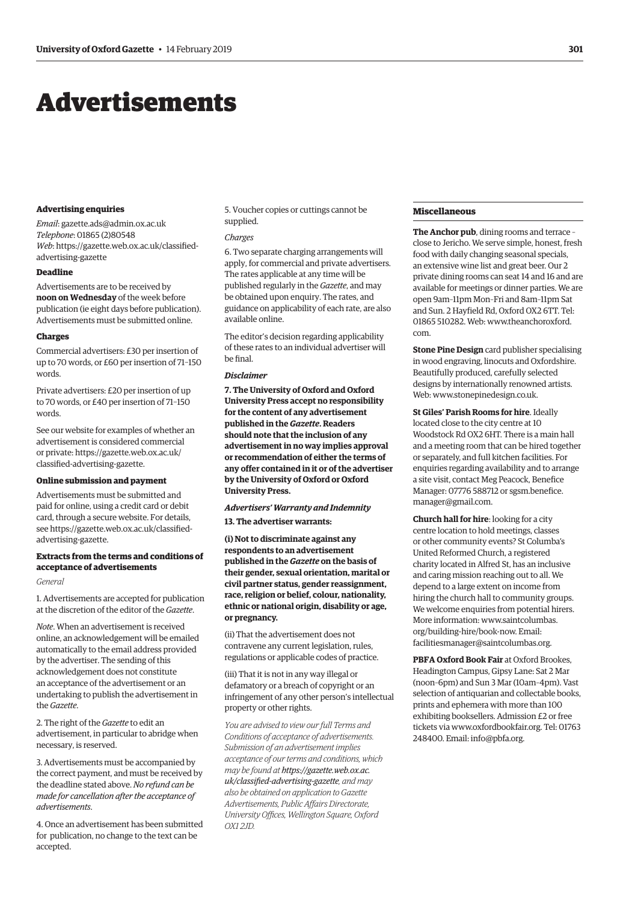# <span id="page-12-0"></span>Advertisements

#### **Advertising enquiries**

*Email*: [gazette.ads@admin.ox.ac.uk](mailto:gazette.ads@admin.ox.ac.uk) *Telephone*: 01865 (2)80548 *Web*[: https://gazette.web.ox.ac.uk/classified](https://gazette.web.ox.ac.uk/classified-advertising-gazette)advertising-gazette

#### **Deadline**

Advertisements are to be received by **noon on Wednesday** of the week before publication (ie eight days before publication). Advertisements must be submitted online.

#### **Charges**

Commercial advertisers: £30 per insertion of up to 70 words, or £60 per insertion of 71–150 words.

Private advertisers: £20 per insertion of up to 70 words, or £40 per insertion of 71–150 words.

See our website for examples of whether an advertisement is considered commercial [or private: https://gazette.web.ox.ac.uk/](https://gazette.web.ox.ac.uk/classified-advertising-gazette) classified-advertising-gazette.

#### **Online submission and payment**

Advertisements must be submitted and paid for online, using a credit card or debit card, through a secure website. For details, [see https://gazette.web.ox.ac.uk/classified](https://gazette.web.ox.ac.uk/classified-advertising-gazette)advertising-gazette.

# **Extracts from the terms and conditions of acceptance of advertisements**

#### *General*

1. Advertisements are accepted for publication at the discretion of the editor of the *Gazette*.

*Note*. When an advertisement is received online, an acknowledgement will be emailed automatically to the email address provided by the advertiser. The sending of this acknowledgement does not constitute an acceptance of the advertisement or an undertaking to publish the advertisement in the *Gazette*.

2. The right of the *Gazette* to edit an advertisement, in particular to abridge when necessary, is reserved.

3. Advertisements must be accompanied by the correct payment, and must be received by the deadline stated above. *No refund can be made for cancellation after the acceptance of advertisements*.

4. Once an advertisement has been submitted for publication, no change to the text can be accepted.

5. Voucher copies or cuttings cannot be supplied.

#### *Charges*

6. Two separate charging arrangements will apply, for commercial and private advertisers. The rates applicable at any time will be published regularly in the *Gazette*, and may be obtained upon enquiry. The rates, and guidance on applicability of each rate, are also available online.

The editor's decision regarding applicability of these rates to an individual advertiser will be final.

#### *Disclaimer*

**7. The University of Oxford and Oxford University Press accept no responsibility for the content of any advertisement published in the** *Gazette***. Readers should note that the inclusion of any advertisement in no way implies approval or recommendation of either the terms of any offer contained in it or of the advertiser by the University of Oxford or Oxford University Press.**

## *Advertisers' Warranty and Indemnity*

**13. The advertiser warrants:**

**(i) Not to discriminate against any respondents to an advertisement published in the** *Gazette* **on the basis of their gender, sexual orientation, marital or civil partner status, gender reassignment, race, religion or belief, colour, nationality, ethnic or national origin, disability or age, or pregnancy.**

(ii) That the advertisement does not contravene any current legislation, rules, regulations or applicable codes of practice.

(iii) That it is not in any way illegal or defamatory or a breach of copyright or an infringement of any other person's intellectual property or other rights.

*You are advised to view our full Terms and Conditions of acceptance of advertisements. Submission of an advertisement implies acceptance of our terms and conditions, which may be found at https://gazette.web.ox.ac. [uk/classified-advertising-gazette](https://gazette.web.ox.ac.uk/classified-advertising-gazette), and may also be obtained on application to Gazette Advertisements, Public Affairs Directorate, University Offices, Wellington Square, Oxford OX1 2JD.*

#### **Miscellaneous**

**The Anchor pub**, dining rooms and terrace – close to Jericho. We serve simple, honest, fresh food with daily changing seasonal specials, an extensive wine list and great beer. Our 2 private dining rooms can seat 14 and 16 and are available for meetings or dinner parties. We are open 9am–11pm Mon–Fri and 8am–11pm Sat and Sun. 2 Hayfield Rd, Oxford OX2 6TT. Tel: 01865 510282. Web: [www.theanchoroxford.](http://www.theanchoroxford.com) [com](http://www.theanchoroxford.com).

**Stone Pine Design** card publisher specialising in wood engraving, linocuts and Oxfordshire. Beautifully produced, carefully selected designs by internationally renowned artists. Web: [www.stonepinedesign.co.uk.](http://www.stonepinedesign.co.uk)

**St Giles' Parish Rooms for hire**. Ideally located close to the city centre at 10 Woodstock Rd OX2 6HT. There is a main hall and a meeting room that can be hired together or separately, and full kitchen facilities. For enquiries regarding availability and to arrange a site visit, contact Meg Peacock, Benefice Manager: 07776 588712 or [sgsm.benefice.](mailto:sgsm.benefice.manager@gmail.com) [manager@gmail.com](mailto:sgsm.benefice.manager@gmail.com).

**Church hall for hire**: looking for a city centre location to hold meetings, classes or other community events? St Columba's United Reformed Church, a registered charity located in Alfred St, has an inclusive and caring mission reaching out to all. We depend to a large extent on income from hiring the church hall to community groups. We welcome enquiries from potential hirers. More information: [www.saintcolumbas.](http://www.saintcolumbas.org/building-hire/book-now.) [org/building-hire/book-now.](http://www.saintcolumbas.org/building-hire/book-now.) Email: [facilitiesmanager@saintcolumbas.org](mailto:facilitiesmanager@saintcolumbas.org).

**PBFA Oxford Book Fair** at Oxford Brookes, Headington Campus, Gipsy Lane: Sat 2 Mar (noon–6pm) and Sun 3 Mar (10am–4pm). Vast selection of antiquarian and collectable books, prints and ephemera with more than 100 exhibiting booksellers. Admission £2 or free tickets via [www.oxfordbookfair.org](http://www.oxfordbookfair.org). Tel: 01763 248400. Email: [info@pbfa.org.](mailto:info@pbfa.org)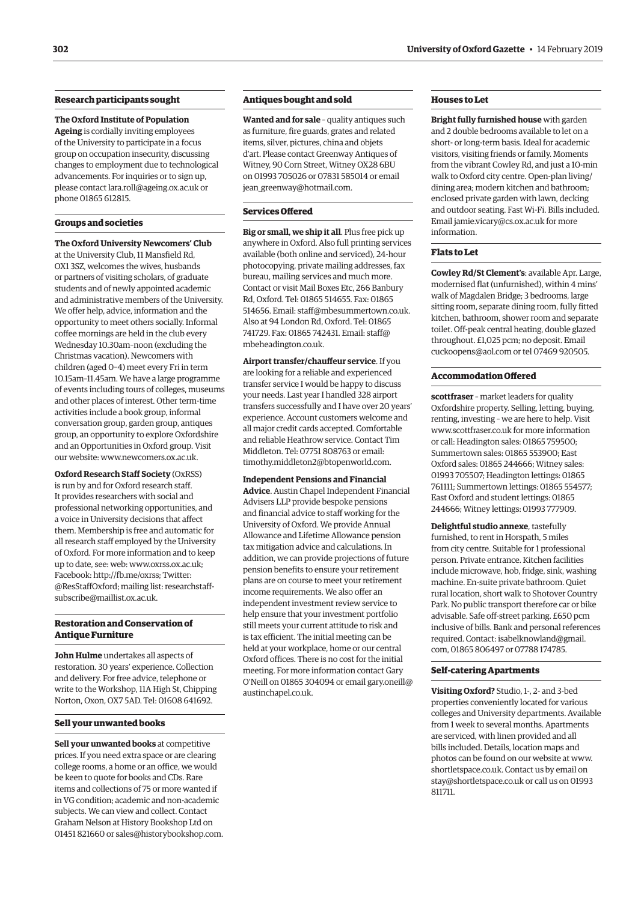# **Research participants sought**

#### **The Oxford Institute of Population**

**Ageing** is cordially inviting employees of the University to participate in a focus group on occupation insecurity, discussing changes to employment due to technological advancements. For inquiries or to sign up, please contact [lara.roll@ageing.ox.ac.uk](mailto:lara.roll@ageing.ox.ac.uk) or phone 01865 612815.

#### **Groups and societies**

**The Oxford University Newcomers' Club** at the University Club, 11 Mansfield Rd, OX1 3SZ, welcomes the wives, husbands or partners of visiting scholars, of graduate students and of newly appointed academic and administrative members of the University. We offer help, advice, information and the opportunity to meet others socially. Informal coffee mornings are held in the club every Wednesday 10.30am–noon (excluding the Christmas vacation). Newcomers with children (aged 0–4) meet every Fri in term 10.15am–11.45am. We have a large programme of events including tours of colleges, museums and other places of interest. Other term-time activities include a book group, informal conversation group, garden group, antiques group, an opportunity to explore Oxfordshire and an Opportunities in Oxford group. Visit our website: [www.newcomers.ox.ac.uk](http://www.newcomers.ox.ac.uk).

**Oxford Research Staff Society** (OxRSS) is run by and for Oxford research staff. It provides researchers with social and professional networking opportunities, and a voice in University decisions that affect them. Membership is free and automatic for all research staff employed by the University of Oxford. For more information and to keep up to date, see: web: [www.oxrss.ox.ac.uk;](http://www.oxrss.ox.ac.uk) Facebook:<http://fb.me/oxrss;> Twitter: @ResStaffOxford; mailing list: [researchstaff](mailto:researchstaff-subscribe@maillist.ox.ac.uk)[subscribe@maillist.ox.ac.uk.](mailto:researchstaff-subscribe@maillist.ox.ac.uk)

# **Restoration and Conservation of Antique Furniture**

**John Hulme** undertakes all aspects of restoration. 30 years' experience. Collection and delivery. For free advice, telephone or write to the Workshop, 11A High St, Chipping Norton, Oxon, OX7 5AD. Tel: 01608 641692.

#### **Sell your unwanted books**

**Sell your unwanted books** at competitive prices. If you need extra space or are clearing college rooms, a home or an office, we would be keen to quote for books and CDs. Rare items and collections of 75 or more wanted if in VG condition; academic and non-academic subjects. We can view and collect. Contact Graham Nelson at History Bookshop Ltd on 01451 821660 or [sales@historybookshop.com.](mailto:sales@historybookshop.com)

#### **Antiques bought and sold**

**Wanted and for sale** – quality antiques such as furniture, fire guards, grates and related items, silver, pictures, china and objets d'art. Please contact Greenway Antiques of Witney, 90 Corn Street, Witney OX28 6BU on 01993 705026 or 07831 585014 or email [jean\\_greenway@hotmail.com](mailto:jean_greenway@hotmail.com).

#### **Services Offered**

**Big or small, we ship it all**. Plus free pick up anywhere in Oxford. Also full printing services available (both online and serviced), 24-hour photocopying, private mailing addresses, fax bureau, mailing services and much more. Contact or visit Mail Boxes Etc, 266 Banbury Rd, Oxford. Tel: 01865 514655. Fax: 01865 514656. Email: [staff@mbesummertown.co.uk](mailto:staff@mbesummertown.co.uk). Also at 94 London Rd, Oxford. Tel: 01865 741729. Fax: 01865 742431. Email: [staff@](mailto:staff@mbeheadington.co.uk) [mbeheadington.co.uk](mailto:staff@mbeheadington.co.uk).

**Airport transfer/chauffeur service**. If you are looking for a reliable and experienced transfer service I would be happy to discuss your needs. Last year I handled 328 airport transfers successfully and I have over 20 years' experience. Account customers welcome and all major credit cards accepted. Comfortable and reliable Heathrow service. Contact Tim Middleton. Tel: 07751 808763 or email: [timothy.middleton2@btopenworld.com.](mailto:timothy.middleton2@btopenworld.com)

**Independent Pensions and Financial Advice**. Austin Chapel Independent Financial Advisers LLP provide bespoke pensions and financial advice to staff working for the University of Oxford. We provide Annual Allowance and Lifetime Allowance pension tax mitigation advice and calculations. In addition, we can provide projections of future pension benefits to ensure your retirement plans are on course to meet your retirement income requirements. We also offer an independent investment review service to help ensure that your investment portfolio still meets your current attitude to risk and is tax efficient. The initial meeting can be held at your workplace, home or our central Oxford offices. There is no cost for the initial meeting. For more information contact Gary O'Neill on 01865 304094 or email [gary.oneill@](mailto:gary.oneill@austinchapel.co.uk) [austinchapel.co.uk](mailto:gary.oneill@austinchapel.co.uk).

# **Houses to Let**

**Bright fully furnished house** with garden and 2 double bedrooms available to let on a short- or long-term basis. Ideal for academic visitors, visiting friends or family. Moments from the vibrant Cowley Rd, and just a 10-min walk to Oxford city centre. Open-plan living/ dining area; modern kitchen and bathroom; enclosed private garden with lawn, decking and outdoor seating. Fast Wi-Fi. Bills included. Email [jamie.vicary@cs.ox.ac.uk](mailto:jamie.vicary@cs.ox.ac.uk) for more information.

# **Flats to Let**

**Cowley Rd/St Clement's**: available Apr. Large, modernised flat (unfurnished), within 4 mins' walk of Magdalen Bridge; 3 bedrooms, large sitting room, separate dining room, fully fitted kitchen, bathroom, shower room and separate toilet. Off-peak central heating, double glazed throughout. £1,025 pcm; no deposit. Email [cuckoopens@aol.com](mailto:cuckoopens@aol.com) or tel 07469 920505.

# **Accommodation Offered**

**scottfraser** – market leaders for quality Oxfordshire property. Selling, letting, buying, renting, investing – we are here to help. Visit [www.scottfraser.co.uk](http://www.scottfraser.co.uk) for more information or call: Headington sales: 01865 759500; Summertown sales: 01865 553900; East Oxford sales: 01865 244666; Witney sales: 01993 705507; Headington lettings: 01865 761111; Summertown lettings: 01865 554577; East Oxford and student lettings: 01865 244666; Witney lettings: 01993 777909.

**Delightful studio annexe**, tastefully furnished, to rent in Horspath, 5 miles from city centre. Suitable for 1 professional person. Private entrance. Kitchen facilities include microwave, hob, fridge, sink, washing machine. En-suite private bathroom. Quiet rural location, short walk to Shotover Country Park. No public transport therefore car or bike advisable. Safe off-street parking. £650 pcm inclusive of bills. Bank and personal references required. Contact: [isabelknowland@gmail.](mailto:isabelknowland@gmail.com) [com](mailto:isabelknowland@gmail.com), 01865 806497 or 07788 174785.

#### **Self-catering Apartments**

**Visiting Oxford?** Studio, 1-, 2- and 3-bed properties conveniently located for various colleges and University departments. Available from 1 week to several months. Apartments are serviced, with linen provided and all bills included. Details, location maps and photos can be found on our website at [www.](http://www.shortletspace.co.uk) [shortletspace.co.uk](http://www.shortletspace.co.uk). Contact us by email on [stay@shortletspace.co.uk](mailto:stay@shortletspace.co.uk) or call us on 01993 811711.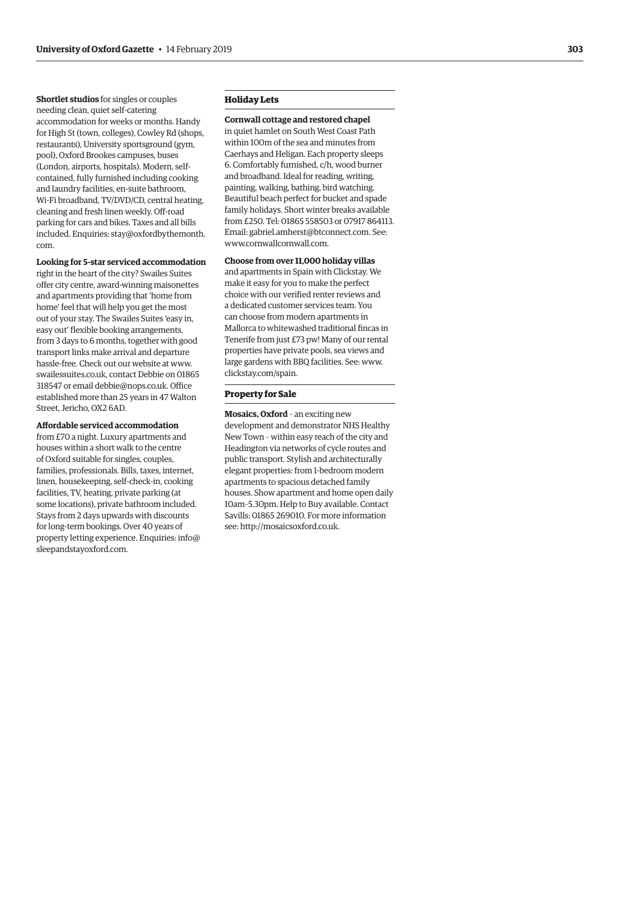**Shortlet studios** for singles or couples needing clean, quiet self-catering accommodation for weeks or months. Handy for High St (town, colleges), Cowley Rd (shops, restaurants), University sportsground (gym, pool), Oxford Brookes campuses, buses (London, airports, hospitals). Modern, selfcontained, fully furnished including cooking and laundry facilities, en-suite bathroom, Wi-Fi broadband, TV/DVD/CD, central heating, cleaning and fresh linen weekly. Off-road parking for cars and bikes. Taxes and all bills included. Enquiries: [stay@oxfordbythemonth.](mailto:stay@oxfordbythemonth.com) [com.](mailto:stay@oxfordbythemonth.com)

#### **Looking for 5-star serviced accommodation**

right in the heart of the city? Swailes Suites offer city centre, award-winning maisonettes and apartments providing that 'home from home' feel that will help you get the most out of your stay. The Swailes Suites 'easy in, easy out' flexible booking arrangements, from 3 days to 6 months, together with good transport links make arrival and departure hassle-free. Check out our website at [www.](http://www.swailessuites.co.uk) [swailessuites.co.uk,](http://www.swailessuites.co.uk) contact Debbie on 01865 318547 or email [debbie@nops.co.uk.](mailto:debbie@nops.co.uk) Office established more than 25 years in 47 Walton Street, Jericho, OX2 6AD.

#### **Affordable serviced accommodation**

from £70 a night. Luxury apartments and houses within a short walk to the centre of Oxford suitable for singles, couples, families, professionals. Bills, taxes, internet, linen, housekeeping, self-check-in, cooking facilities, TV, heating, private parking (at some locations), private bathroom included. Stays from 2 days upwards with discounts for long-term bookings. Over 40 years of property letting experience. Enquiries: [info@](mailto:info@sleepandstayoxford.com) [sleepandstayoxford.com](mailto:info@sleepandstayoxford.com) .

# **Holiday Lets**

**Cornwall cottage and restored chapel** in quiet hamlet on South West Coast Path within 100m of the sea and minutes from Caerhays and Heligan. Each property sleeps 6. Comfortably furnished, c/h, wood burner and broadband. Ideal for reading, writing, painting, walking, bathing, bird watching. Beautiful beach perfect for bucket and spade family holidays. Short winter breaks available from £250. Tel: 01865 558503 or 07917 864113. Email: [gabriel.amherst@btconnect.com](mailto:gabriel.amherst@btconnect.com). See: [www.cornwallcornwall.com](http://www.cornwallcornwall.com) .

**Choose from over 11,000 holiday villas** and apartments in Spain with Clickstay. We make it easy for you to make the perfect choice with our verified renter reviews and a dedicated customer services team. You can choose from modern apartments in Mallorca to whitewashed traditional fincas in Tenerife from just £73 pw! Many of our rental properties have private pools, sea views and large gardens with BBQ facilities. See: [www.](http://www.clickstay.com/spain.) [clickstay.com/spain.](http://www.clickstay.com/spain.)

# **Property for Sale**

**Mosaics, Oxford** – an exciting new development and demonstrator NHS Healthy New Town – within easy reach of the city and Headington via networks of cycle routes and public transport. Stylish and architecturally elegant properties: from 1-bedroom modern apartments to spacious detached family houses. Show apartment and home open daily 10am–5.30pm. Help to Buy available. Contact Savills: 01865 269010. For more information see:<http://mosaicsoxford.co.uk> .